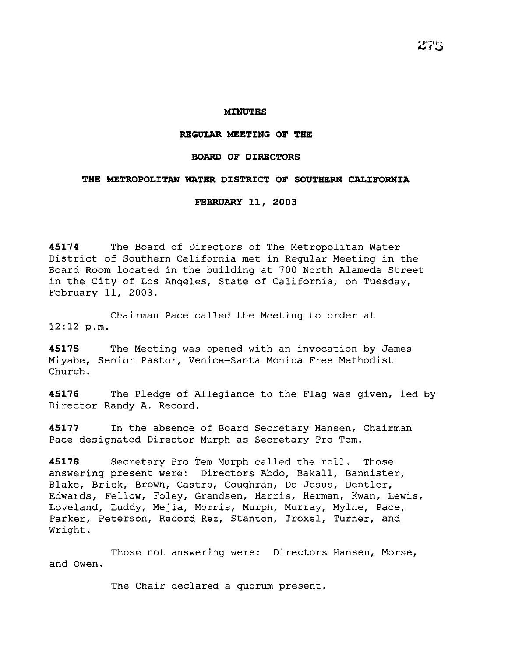#### **REGULAR MEETING OF THE**

**MINUTES** 

### **BOARD OF DIRECTORS**

### **THE METROPOLITAN WATER DISTRICT OF SOUTHERN CALIFORNIA**

**FEBRUARY 11, 2003** 

**45174** The Board of Directors of The Metropolitan Water District of Southern California met in Regular Meeting in the Board Room located in the building at 700 North Alameda Street in the City of Los Angeles, State of California, on Tuesday, February 11, 2003.

Chairman Pace called the Meeting to order at 12:12 p.m.

**45175** The Meeting was opened with an invocation by James Miyabe, Senior Pastor, Venice-Santa Monica Free Methodist Church.

**45176** The Pledge of Allegiance to the Flag was given, led by Director Randy A. Record.

**45177** In the absence of Board Secretary Hansen, Chairman Pace designated Director Murph as Secretary Pro Tem.

45178 Secretary Pro Tem Murph called the roll. Those answering present were: Directors Abdo, Bakall, Bannister, Blake, Brick, Brown, Castro, Coughran, De Jesus, Dentler, Edwards, Fellow, Foley, Grandsen, Harris, Herman, Kwan, Lewis, Loveland, Luddy, Mejia, Morris, Murph, Murray, Mylne, Pace, Parker, Peterson, Record Rez, Stanton, Troxel, Turner, and Wright.

Those not answering were: Directors Hansen, Morse, and Owen.

The Chair declared a quorum present.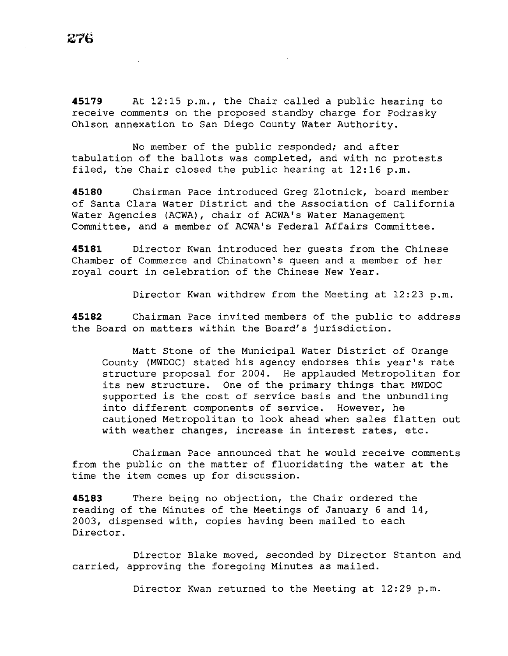**45179** At 12:15 p.m., the Chair called a public hearing to receive comments on the proposed standby charge for Podrasky Ohlson annexation to San Diego County Water Authority.

No member of the public responded; and after tabulation of the ballots was completed, and with no protests filed, the Chair closed the public hearing at 12:16 p.m.

**45180** Chairman Pace introduced Greg Zlotnick, board member of Santa Clara Water District and the Association of California Water Agencies (ACWA), chair of ACWA's Water Management Committee, and a member of ACWA's Federal Affairs Committee.

**45181** Director Kwan introduced her guests from the Chinese Chamber of Commerce and Chinatown's queen and a member of her royal court in celebration of the Chinese New Year.

Director Kwan withdrew from the Meeting at 12:23 p.m.

**45182** Chairman Pace invited members of the public to address the Board on matters within the Board's jurisdiction.

Matt Stone of the Municipal Water District of Orange County (MWDOC) stated his agency endorses this year's rate structure proposal for 2004. He applauded Metropolitan for its new structure. One of the primary things that MWDOC supported is the cost of service basis and the unbundling into different components of service. However, he cautioned Metropolitan to look ahead when sales flatten out with weather changes, increase in interest rates, etc.

Chairman Pace announced that he would receive comments from the public on the matter of fluoridating the water at the time the item comes up for discussion.

**45183** There being no objection, the Chair ordered the reading of the Minutes of the Meetings of January 6 and 14, 2003, dispensed with, copies having been mailed to each Director.

Director Blake moved, seconded by Director Stanton and carried, approving the foregoing Minutes as mailed.

Director Kwan returned to the Meeting at 12:29 p.m.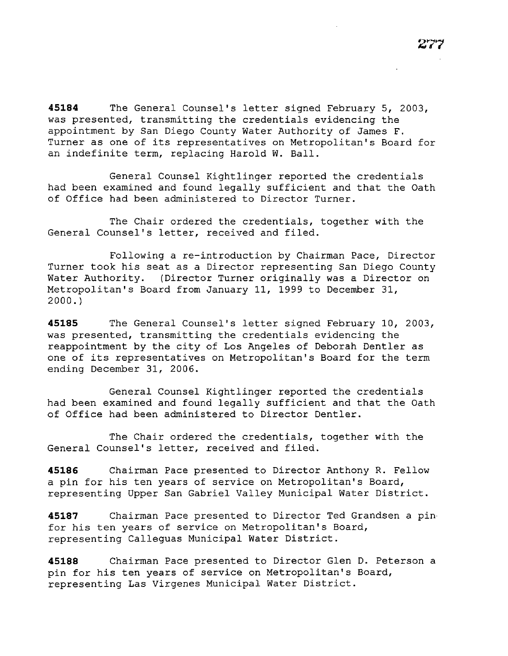**45184** The General Counsel's letter signed February 5, 2003, was presented, transmitting the credentials evidencing the appointment by San Diego County Water Authority of James F. Turner as one of its representatives on Metropolitan's Board for an indefinite term, replacing Harold W. Ball.

General Counsel Kightlinger reported the credentials had been examined and found legally sufficient and that the Oath of Office had been administered to Director Turner.

The Chair ordered the credentials, together with the General Counsel's letter, received and filed.

Following a re-introduction by Chairman Pace, Director Turner took *his* seat as a Director representing San Diego County Water Authority. (Director Turner originally was a Director on Metropolitan's Board from January 11, 1999 to December 31, 2000.)

**45185** The General Counsel's letter signed February 10, 2003, was presented, transmitting the credentials evidencing the reappointment by the city of Los Angeles of Deborah Dentler as one of its representatives on Metropolitan's Board for the term ending December 31, 2006.

General Counsel Kightlinger reported the credentials had been examined and found legally sufficient and that the Oath of Office had been administered to Director Dentler.

The Chair ordered the credentials, together with the General Counsel's letter, received and filed.

**45186** Chairman Pace presented to Director Anthony R. Fellow a *pin* for his ten years of service on Metropolitan's Board, representing Upper San Gabriel Valley Municipal Water District.

**45187** Chairman Pace presented to Director Ted Grandsen a pin for his ten years of service on Metropolitan's Board, representing Calleguas Municipal Water District.

**45188** Chairman Pace presented to Director Glen D. Peterson a pin for *his* ten years of service on Metropolitan's Board, representing Las Virgenes Municipal Water District.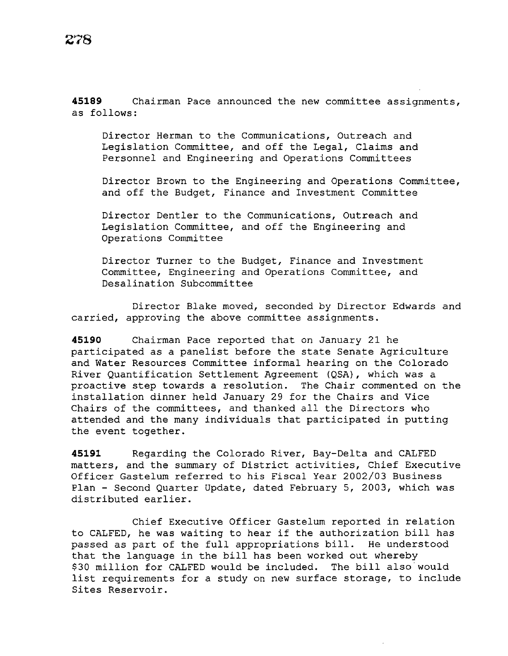**45189** Chairman Pace announced the new committee assignments, as follows:

Director Herman to the Communications, Outreach and Legislation Committee, and off the Legal, Claims and Personnel and Engineering and Operations Committees

Director Brown to the Engineering and Operations Committee, and off the Budget, Finance and Investment Committee

Director Dentler to the Communications, Outreach and Legislation Committee, and off the Engineering and Operations Committee

Director Turner to the Budget, Finance and Investment Committee, Engineering and Operations Committee, and Desalination Subcommittee

Director Blake moved, seconded by Director Edwards and carried, approving the above committee assignments.

**45190** Chairman Pace reported that on January 21 he participated as a panelist before the state Senate Agriculture and Water Resources Committee informal hearing on the Colorado River Quantification Settlement Agreement (QSA), which was a proactive step towards a resolution. The Chair commented on the installation dinner held January 29 for the Chairs and Vice Chairs of the committees, and thanked all the Directors who attended and the many individuals that participated in putting the event together.

**45191** Regarding the Colorado River, Bay-Delta and CALFED matters, and the summary of District activities, Chief Executive Officer Gastelum referred to his Fiscal Year 2002/03 Business Plan - Second Quarter Update, dated February 5, 2003, which was distributed earlier.

Chief Executive Officer Gastelum reported in relation to CALFED, he was waiting to hear if the authorization bill has passed as part of the full appropriations bill. He understood that the language in the bill has been worked out whereby \$30 million for CALFED would be included. The bill also would list requirements for a study on new surface storage, to include Sites Reservoir.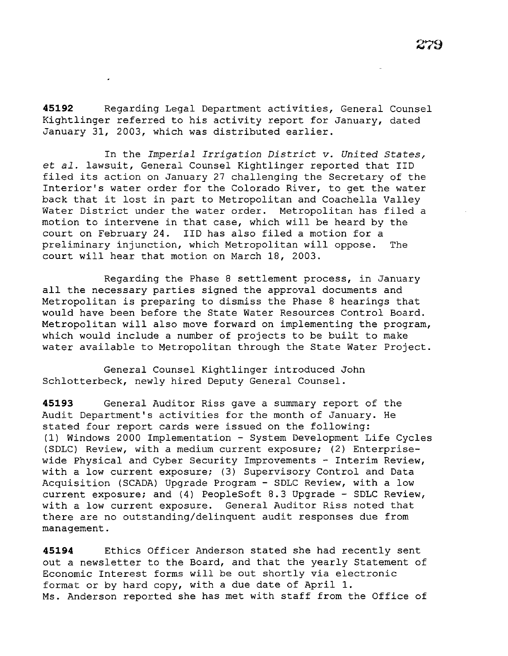**45192** Regarding Legal Department activities, General Counsel Kightlinger referred to his activity report for January, dated January 31, 2003, which was distributed earlier.

In the *Imperial Irrigation District v. United States,*  et *al.* lawsuit, General Counsel Kightlinger reported that IID filed its action on January 27 challenging the Secretary of the Interior's water order for the Colorado River, to get the water back that it lost in part to Metropolitan and Coachella Valley Water District under the water order. Metropolitan has filed a motion to intervene in that case, which will be heard by the court on February 24. IID has also filed a motion for a preliminary injunction, which Metropolitan will oppose. The court will hear that motion on March 18, 2003.

Regarding the Phase 8 settlement process, in January all the necessary parties signed the approval documents and Metropolitan is preparing to dismiss the Phase 8 hearings that would have been before the State Water Resources Control Board. Metropolitan will also move forward on implementing the program, which would include a number of projects to be built to make water available to Metropolitan through the State Water Project.

General Counsel Kightlinger introduced John Schlotterbeck, newly hired Deputy General Counsel.

**45193** General Auditor Riss gave a summary report of the Audit Department's activities for the month of January. He stated four report cards were issued on the following: (1) Windows 2000 Implementation - System Development Life Cycles (SDLC) Review, with a medium current exposure; (2) Enterprisewide Physical and Cyber Security Improvements - Interim Review, with a low current exposure; (3) Supervisory Control and Data Acquisition (SCADA) Upgrade Program - SDLC Review, with a low current exposure; and (4) PeopleSoft 8.3 Upgrade - SDLC Review, with a low current exposure. General Auditor Riss noted that there are no outstanding/delinquent audit responses due from management.

**45194** Ethics Officer Anderson stated she had recently sent out a newsletter to the Board, and that the yearly Statement of Economic Interest forms will be out shortly via electronic format or by hard copy, with a due date of April 1. Ms. Anderson reported she has met with staff from the Office of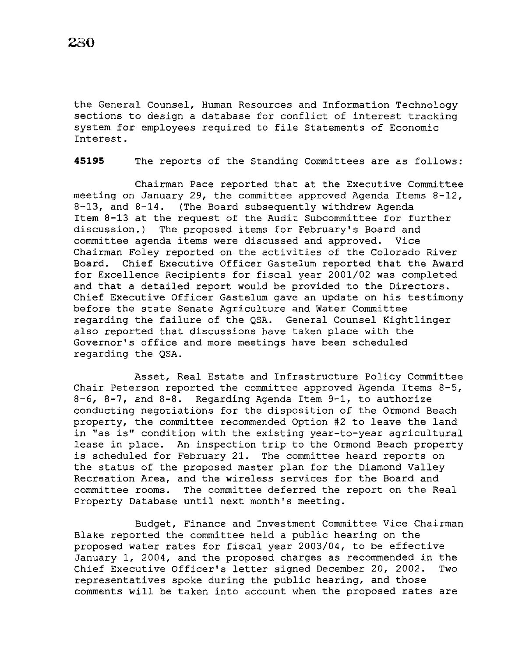the General Counsel, Human Resources and Information Technology sections to design a database for conflict of interest tracking system for employees required to file Statements of Economic Interest.

**45195** The reports of the Standing Committees are as follows:

Chairman Pace reported that at the Executive Committee meeting on January 29, the committee approved Agenda Items 8-12, 8-13, and 8-14. (The Board subsequently withdrew Agenda Item 8-13 at the request of the Audit Subcommittee for further discussion.) The proposed items for February's Board and committee agenda items were discussed and approved. Vice Chairman Foley reported on the activities of the Colorado River Board. Chief Executive Officer Gastelum reported that the Award for Excellence Recipients for fiscal year 2001/02 was completed and that a detailed report would be provided to the Directors. Chief Executive Officer Gastelum gave an update on his testimony before the state Senate Agriculture and Water Committee regarding the failure of the QSA. General Counsel Kightlinger also reported that discussions have taken place with the Governor's office and more meetings have been scheduled regarding the QSA.

Asset, Real Estate and Infrastructure Policy Committee Chair Peterson reported the committee approved Agenda Items 8-5, 8-6, 8-7, and 8-8. Regarding Agenda Item 9-1, to authorize conducting negotiations for the disposition of the Ormond Beach property, the committee recommended Option #2 to leave the land in "as is" condition with the existing year-to-year agricultural lease in place. An inspection trip to the Ormond Beach property is scheduled for February 21. The committee heard reports on the status of the proposed master plan for the Diamond Valley Recreation Area, and the wireless services for the Board and committee rooms. The committee deferred the report on the Real Property Database until next month's meeting.

Budget, Finance and Investment Committee Vice Chairman Blake reported the committee held a public hearing on the proposed water rates for fiscal year 2003/04, to be effective January 1, 2004, and the proposed charges as recommended in the Chief Executive Officer's letter signed December 20, 2002. Two representatives spoke during the public hearing, and those comments will be taken into account when the proposed rates are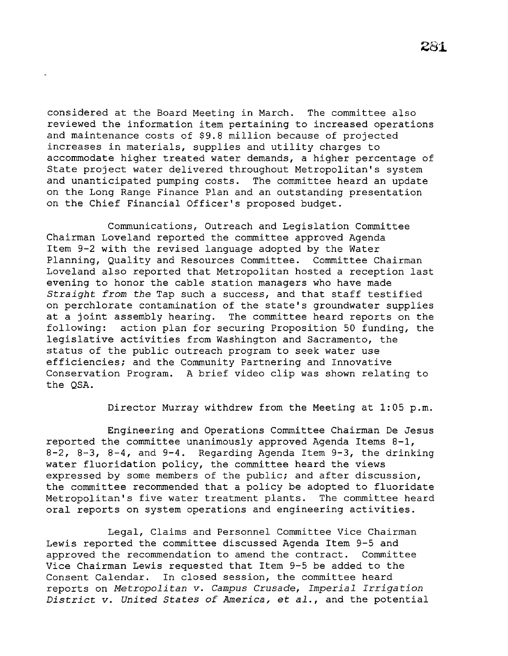considered at the Board Meeting in March. The committee also reviewed the information item pertaining to increased operations and maintenance costs of \$9.8 *million* because of projected increases *in* materials, supplies and utility charges to accommodate higher treated water demands, a higher percentage of State project water delivered throughout Metropolitan's system and unanticipated pumping costs. The committee heard an update on the Long Range Finance Plan and an outstanding presentation on the Chief *Financial* Officer's proposed budget.

Communications, Outreach and Legislation Committee Chairman Loveland reported the committee approved Agenda Item 9-2 with the revised language adopted by the Water Planning, Quality and Resources Committee. Committee Chairman Loveland also reported that Metropolitan hosted a reception last evening to honor the cable station managers who have made *Straight from the* Tap such a success, and that staff testified on perchlorate contamination of the state's groundwater supplies at a joint assembly hearing. The committee heard reports on the following: action plan for securing Proposition 50 funding, the action plan for securing Proposition 50 funding, the legislative activities from Washington and Sacramento, the status of the public outreach program to seek water use efficiencies; and the Community Partnering and Innovative Conservation Program. A brief video clip was shown relating to the QSA.

Director Murray withdrew from the Meeting at 1:05 p.m.

Engineering and Operations Committee Chairman De Jesus reported the committee unanimously approved Agenda Items 8-1, 8-2, 8-3, 8-4, and 9-4. Regarding Agenda Item 9-3, the drinking water fluoridation policy, the committee heard the views expressed by some members of the public; and after *discussion,*  the committee recommended that a *policy* be adopted to fluoridate Metropolitan's five water treatment plants. The committee heard oral reports on system operations and engineering activities.

Legal, Claims and Personnel Committee Vice Chairman Lewis reported the committee discussed Agenda Item 9-5 and approved the recommendation to amend the contract. Committee Vice Chairman Lewis requested that Item 9-5 be added to the Consent Calendar. In closed session, the committee heard reports on *Metropolitan v. Campus Crusade, Imperial Irrigation District v. United States of America,* et *al.,* and the potential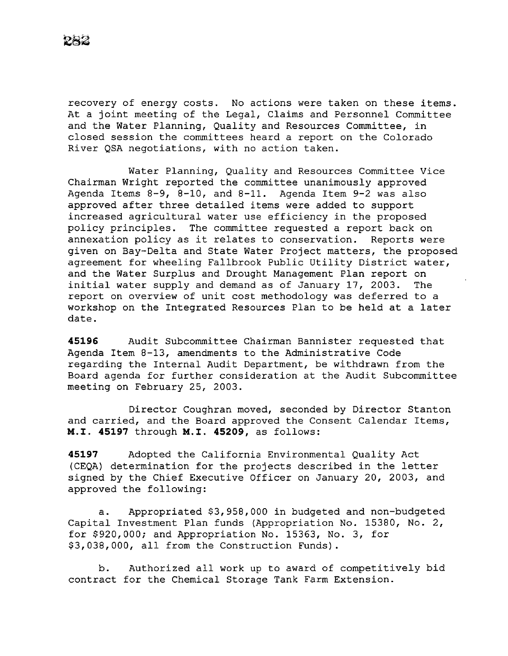recovery of energy costs. No actions were taken on these items. At a joint meeting of the Legal, Claims and Personnel Committee and the Water Planning, Quality and Resources Committee, in closed session the committees heard a report on the Colorado River QSA negotiations, with no action taken.

Water Planning, Quality and Resources Committee Vice Chairman Wright reported the committee unanimously approved Agenda Items 8-9, 8-10, and 8-11. Agenda Item 9-2 was also approved after three detailed items were added to support increased agricultural water use efficiency in the proposed policy principles. The committee requested a report back on annexation policy as it relates to conservation. Reports were given on Bay-Delta and State Water Project matters, the proposed agreement for wheeling Fallbrook Public Utility District water, and the Water Surplus and Drought Management Plan report on initial water supply and demand as of January 17, 2003. The report on overview of unit cost methodology was deferred to a workshop on the Integrated Resources Plan to be held at a later date.

**45196** Audit Subcommittee Chairman Bannister requested that Agenda Item 8-13, amendments to the Administrative Code regarding the Internal Audit Department, be withdrawn from the Board agenda for further consideration at the Audit Subcommittee meeting on February 25, 2003.

Director Coughran moved, seconded by Director Stanton and carried, and the Board approved the Consent Calendar Items, M.I. **45197** through M.I. **45209,** as follows:

**45197** Adopted the California Environmental Quality Act (CEQA) determination for the projects described in the letter signed by the Chief Executive Officer on January 20, 2003, and approved the following:

a. Appropriated \$3,958,000 in budgeted and non-budgeted Capital Investment Plan funds (Appropriation No. 15380, No. 2, for \$920,000; and Appropriation No. 15363, No. 3, for \$3,038,000, all from the Construction Funds).

b. Authorized all work up to award of competitively bid contract for the Chemical Storage Tank Farm Extension.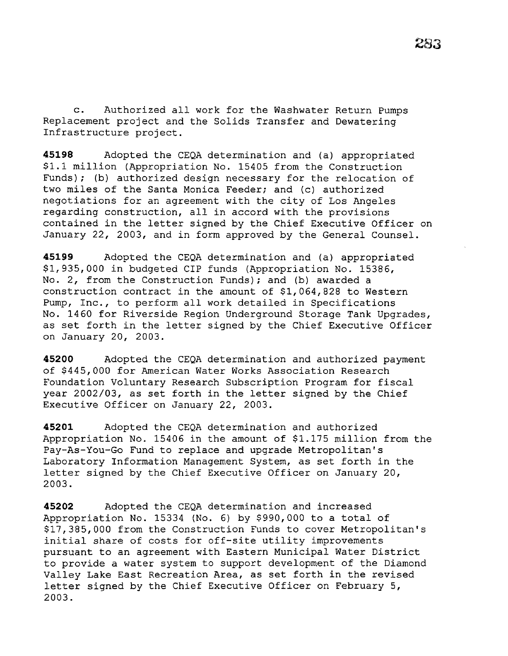c. Authorized all work for the Washwater Return Pumps Replacement project and the Solids Transfer and Dewatering Infrastructure project.

**45198** Adopted the CEQA determination and (a) appropriated \$1.1 million (Appropriation No. 15405 from the Construction Funds); (b) authorized design necessary for the relocation of two miles of the Santa Monica Feeder; and (c) authorized negotiations for an agreement with the city of Los Angeles regarding construction, all in accord with the provisions contained in the letter signed by the Chief Executive Officer on January 22, 2003, and in form approved by the General Counsel.

**45199** Adopted the CEQA determination and (a) appropriated \$1,935,000 in budgeted CIP funds (Appropriation No. 15386, No. 2, from the Construction Funds); and (b) awarded a construction contract in the amount of \$1,064,828 to Western Pump, Inc., to perform all work detailed in Specifications No. 1460 for Riverside Region Underground Storage Tank Upgrades, as set forth in the letter signed by the Chief Executive Officer on January 20, 2003.

**45200** Adopted the CEQA determination and authorized payment of \$445,000 for American Water Works Association Research Foundation Voluntary Research Subscription Program for fiscal year 2002/03, as set forth in the letter signed by the Chief Executive Officer on January 22, 2003.

**45201** Adopted the CEQA determination and authorized Appropriation No. 15406 in the amount of \$1.175 million from the Pay-As-You-Go Fund to replace and upgrade Metropolitan's Laboratory Information Management System, as set forth in the letter signed by the Chief Executive Officer on January 20, 2003.

**45202** Adopted the CEQA determination and increased Appropriation No. 15334 (No. 6) by \$990,000 to a total of \$17,385,000 from the Construction Funds to cover Metropolitan's initial share of costs for off-site utility improvements pursuant to an agreement with Eastern Municipal Water District to provide a water system to support development of the Diamond Valley Lake East Recreation Area, as set forth in the revised letter signed by the Chief Executive Officer on February 5, 2003.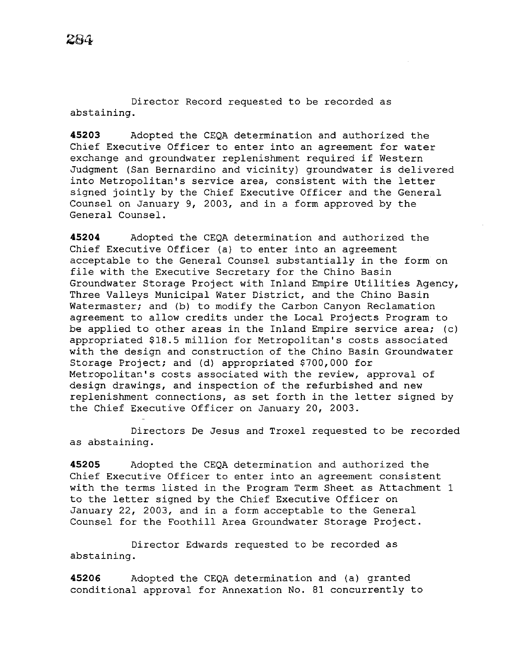Director Record requested to be recorded as abstaining.

**45203** Adopted the CEQA determination and authorized the Chief Executive Officer to enter into an agreement for water exchange and groundwater replenishment required if Western Judgment (San Bernardino and vicinity) groundwater is delivered into Metropolitan's service area, consistent with the letter signed jointly by the Chief Executive Officer and the General Counsel on January 9, 2003, and in a form approved by the General Counsel.

**45204** Adopted the CEQA determination and authorized the Chief Executive Officer (a) to enter into an agreement acceptable to the General Counsel substantially in the form on file with the Executive Secretary for the Chino Basin Groundwater Storage Project with Inland Empire Utilities Agency, Three Valleys Municipal Water District, and the Chino Basin Watermaster; and (b) to modify the Carbon Canyon Reclamation agreement to allow credits under the Local Projects Program to be applied to other areas in the Inland Empire service area; (c) appropriated \$18.5 million for Metropolitan's costs associated with the design and construction of the Chino Basin Groundwater Storage Project; and (d) appropriated \$700,000 for Metropolitan's costs associated with the review, approval of design drawings, and inspection of the refurbished and new replenishment connections, as set forth in the letter signed by the Chief Executive Officer on January 20, 2003.

Directors De Jesus and Troxel requested to be recorded as abstaining.

**45205** Adopted the CEQA determination and authorized the Chief Executive Officer to enter into an agreement consistent with the terms listed in the Program Term Sheet as Attachment 1 to the letter signed by the Chief Executive Officer on January 22, 2003, and in a form acceptable to the General Counsel for the Foothill Area Groundwater Storage Project.

Director Edwards requested to be recorded as abstaining.

**45206** Adopted the CEQA determination and (a) granted conditional approval for Annexation No. 81 concurrently to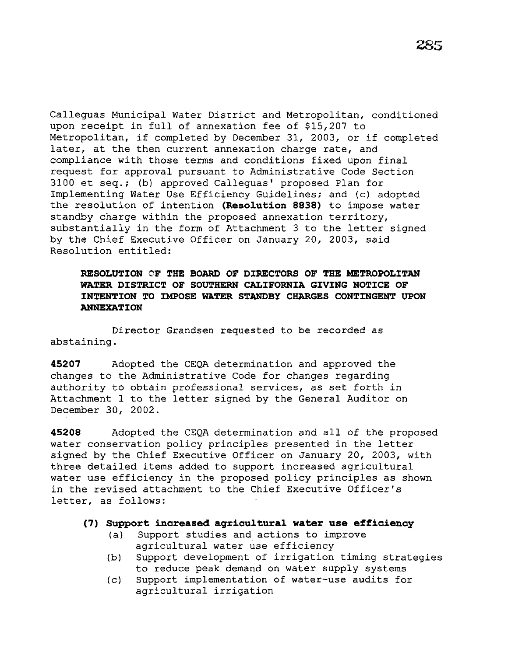Calleguas Municipal Water District and Metropolitan, conditioned upon receipt *in* full of annexation fee of \$15,207 to Metropolitan, if completed by December 31, 2003, or if completed later, at the then current annexation charge rate, and compliance with those terms and conditions fixed upon final request for approval pursuant to Administrative Code Section 3100 et seq.; (b) approved Calleguas' proposed Plan for Implementing Water Use Efficiency Guidelines; and (c) adopted the resolution of intention **(Resolution 8838)** to impose water standby charge within the proposed annexation territory, substantially *in* the form of Attachment 3 to the letter signed by the Chief Executive Officer on January 20, 2003, said Resolution entitled:

# **RESOLUTION OF THE BOARD OF DIRECTORS OF THE METROPOLITAN WATER DISTRICT OF SOUTHERN CALIFORNIA GIVING NOTICE OF INTENTION TO IMPOSE WATER STANDBY CHARGES CONTINGENT UPON ANNEXATION**

Director Grandsen requested to be recorded as abstaining.

**45207** Adopted the CEQA determination and approved the changes to the Administrative Code for changes regarding authority to obtain professional services, as set forth *in*  Attachment 1 to the letter signed by the General Auditor on December 30, 2002.

**45208** Adopted the CEQA determination and all of the proposed water conservation policy principles presented in the letter signed by the Chief Executive Officer on January 20, 2003, with three detailed items added to support increased agricultural water use efficiency in the proposed policy principles as shown in the revised attachment to the Chief Executive Officer's letter, as follows:

## **(7) Support increased agricultural water use efficiency**

- (a) Support studies and actions to improve agricultural water use efficiency
- (b) Support development of irrigation timing strategies to reduce peak demand on water supply systems
- (c) Support implementation of water-use audits for agricultural irrigation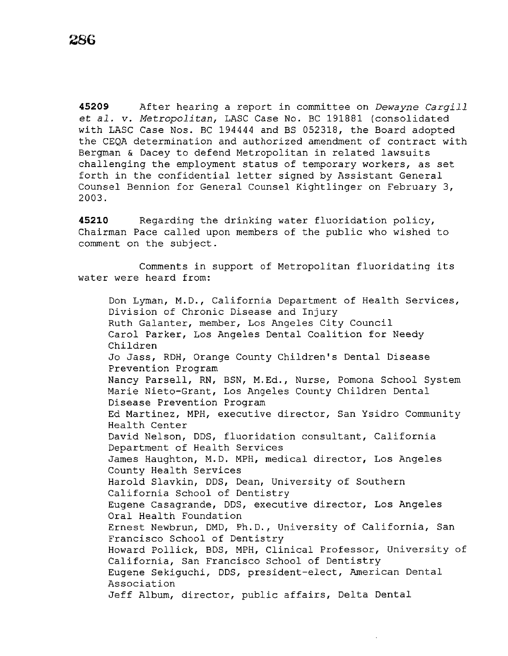**45209** After hearing a report in committee on *Dewayne Cargill*  et *al. v. Metropolitan,* LASC Case No. BC 191881 (consolidated with LASC Case Nos. BC 194444 and BS 052318, the Board adopted the CEQA determination and authorized amendment of contract with Bergman & Dacey to defend Metropolitan in related lawsuits challenging the employment status of temporary workers, as set forth in the confidential letter signed by Assistant General Counsel Bennion for General Counsel Kightlinger on February 3, 2003.

**45210** Regarding the drinking water fluoridation policy, Chairman Pace called upon members of the public who wished to comment on the subject.

Comments in support of Metropolitan fluoridating its water were heard from:

Don Lyman, M.D., California Department of Health Services, Division of Chronic Disease and Injury Ruth Galanter, member, Los Angeles City Council Carol Parker, Los Angeles Dental Coalition for Needy Children Jo Jass, RDH, Orange County Children's Dental Disease Prevention Program Nancy Parsell, RN, BSN, M.Ed., Nurse, Pomona School System Marie Nieto-Grant, Los Angeles County Children Dental Disease Prevention Program Ed Martinez, MPH, executive director, San Ysidro Community Health Center David Nelson, DDS, fluoridation consultant, California Department of Health Services James Haughton, M.D. MPH, medical director, Los Angeles County Health Services Harold Slavkin, DDS, Dean, University of Southern California School of Dentistry Eugene Casagrande, DDS, executive director, Los Angeles Oral Health Foundation Ernest Newbrun, DMD, Ph.D., University of California, San Francisco School of Dentistry Howard Pollick, BDS, MPH, Clinical Professor, University of California, San Francisco School of Dentistry Eugene Sekiguchi, DDS, president-elect, American Dental Association Jeff Album, director, public affairs, Delta Dental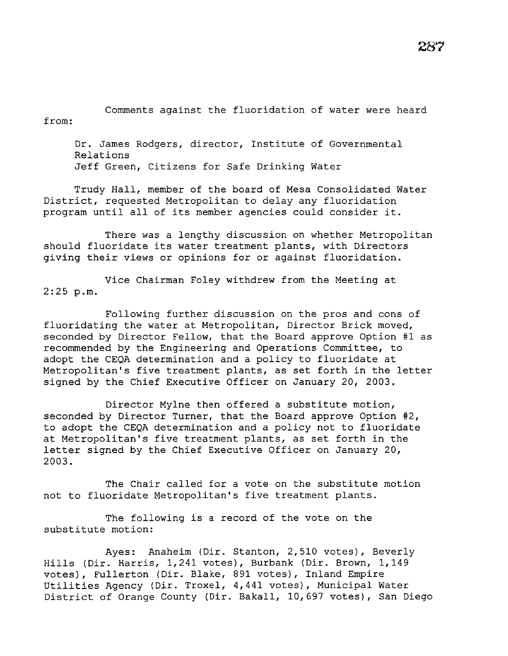Comments against the fluoridation of water were heard from:

Dr. James Rodgers, director, Institute of Governmental Relations Jeff Green, Citizens for Safe Drinking Water

Trudy Hall, member of the board of Mesa Consolidated Water District, requested Metropolitan to delay any fluoridation program until all of its member agencies could consider it.

There was a lengthy discussion on whether Metropolitan should fluoridate its water treatment plants, with Directors giving their views or opinions for or against fluoridation.

Vice Chairman Foley withdrew from the Meeting at 2:25 p.m.

Following further discussion on the pros and cons of fluoridating the water at Metropolitan, Director Brick moved, seconded by Director Fellow, that the Board approve Option #l as recommended by the Engineering and Operations Committee, to adopt the CEQA determination and a policy to fluoridate at Metropolitan's five treatment plants, as set forth in the letter signed by the Chief Executive Officer on January 20, 2003.

Director Mylne then offered a substitute motion, seconded by Director Turner, that the Board approve Option #2, to adopt the CEQA determination and a policy not to fluoridate at Metropolitan's five treatment plants, as set forth in the letter signed by the Chief Executive Officer on January 20, 2003.

The Chair called for a vote on the substitute motion not to fluoridate Metropolitan's five treatment plants.

The following is a record of the vote on the substitute motion:

Ayes: Anaheim (Dir. Stanton, 2,510 votes), Beverly Hills (Dir. Harris, 1,241 votes), Burbank (Dir. Brown, 1,149 votes), Fullerton (Dir. Blake, 891 votes), Inland Empire Utilities Agency (Dir. Troxel, 4,441 votes), Municipal Water District of Orange County (Dir. Bakall, 10,697 votes), San Diego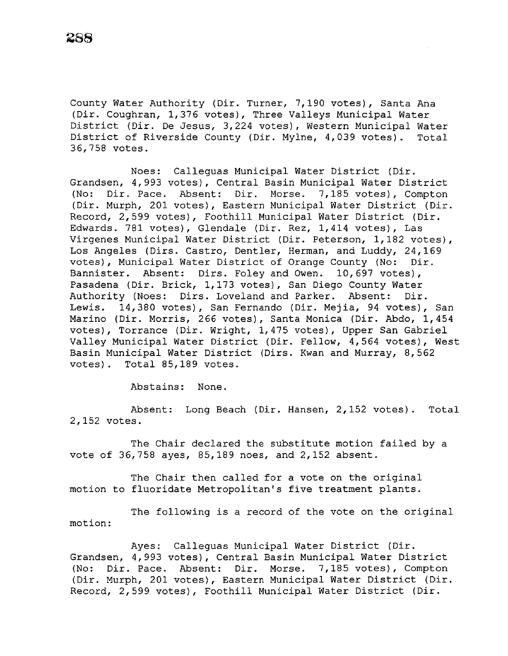County Water Authority (Dir. Turner, 7,190 votes), Santa Ana (Dir. Coughran, 1,376 votes), Three Valleys Municipal Water District (Dir. De Jesus, 3,224 votes), Western Municipal Water District of Riverside County (Dir. Mylne, 4,039 votes). Total 36,758 votes.

Noes: Calleguas Municipal Water District (Dir. Grandsen, 4,993 votes), Central Basin Municipal Water District (No: *Dir.* Pace. Absent: *Dir.* Morse. 7,185 votes), Compton (Dir. Murph, 201 votes), Eastern Municipal Water District (Dir. Record, 2,599 votes), Foothill Municipal Water District (Dir. Edwards. 781 votes), Glendale (Dir. Rez, 1,414 votes), Las Virgenes Municipal Water District (Dir. Peterson, 1,182 votes), Los Angeles (Dirs. Castro, Dentler, Herman, and Luddy, 24,169 votes), Municipal Water District of Orange County (No: Dir. Bannister. Absent: Dirs. Foley and Owen. 10,697 votes), Pasadena (Dir. Brick, 1,173 votes), San Diego County Water Authority (Noes: Dirs. Loveland and Parker. Absent: Dir. Lewis. 14,380 votes), San Fernando (Dir. Mejia, 94 votes), San Marino (Dir. Morris, 266 votes), Santa Monica (Dir. Abdo, 1,454 votes), Torrance (Dir. Wright, 1,475 votes), Upper San Gabriel Valley Municipal Water District (Dir. Fellow, 4,564 votes), West Basin Municipal Water District (Dirs. Kwan and Murray, 8,562 votes). Total 85,189 votes.

Abstains: None.

Absent: Long Beach (Dir. Hansen, 2,152 votes). Total 2,152 votes.

The Chair declared the substitute motion failed by a vote of 36,758 ayes, 85,189 noes, and 2,152 absent.

The Chair then called for a vote on the original motion to fluoridate Metropolitan's five treatment plants.

The following *is* a record of the vote on the original motion:

Ayes: Calleguas Municipal Water District (Dir. Grandsen, 4,993 votes), Central Basin Municipal Water District (No: *Dir.* Pace. Absent: Dir. Morse. 7,185 votes), Compton (Dir. Murph, 201 votes), Eastern Municipal Water District (Dir. Record, 2,599 votes), Foothill Municipal Water District (Dir.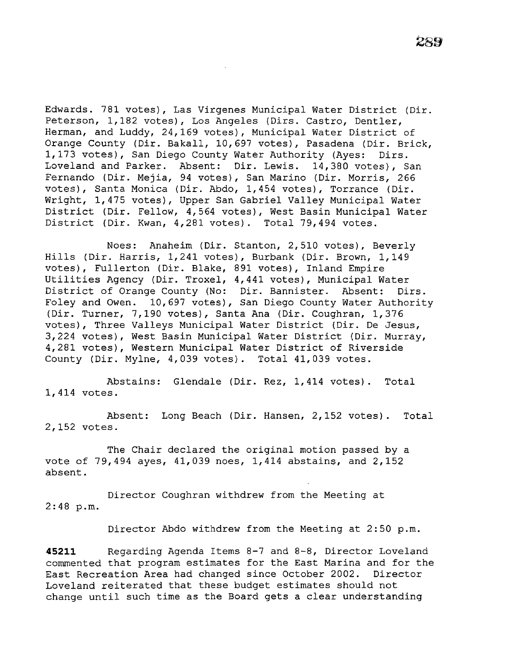Edwards. 781 votes), Las Virgenes Municipal Water District (Dir. Peterson, 1,182 votes), Los Angeles (Dirs. Castro, Dentler, Herman, and Luddy, 24,169 votes), Municipal Water District of Orange County (Dir. Bakall, 10,697 votes), Pasadena (Dir. Brick, 1,173 votes), San Diego County Water Authority (Ayes: Dirs. Loveland and Parker. Absent: Dir. Lewis. 14,380 votes), San Fernando (Dir. Mejia, 94 votes), San Marino (Dir. Morris, 266 votes), Santa Monica (Dir. Abdo, 1,454 votes), Torrance (Dir. Wright, 1,475 votes), Upper San Gabriel Valley Municipal Water District (Dir. Fellow, 4,564 votes), West Basin Municipal Water District (Dir. Kwan, 4,281 votes). Total 79,494 votes.

Noes: Anaheim (Dir. Stanton, 2,510 votes), Beverly Hills (Dir. Harris, 1,241 votes), Burbank (Dir. Brown, 1,149 votes), Fullerton (Dir. Blake, 891 votes), Inland Empire Utilities Agency (Dir. Troxel, 4,441 votes), Municipal Water District of Orange County (No: Dir. Bannister. Absent: Dirs. Foley and Owen. 10,697 votes), San Diego County Water Authority (Dir. Turner, 7,190 votes), Santa Ana (Dir. Coughran, 1,376 votes), Three Valleys Municipal Water District (Dir. De Jesus, 3,224 votes), West Basin Municipal Water District (Dir. Murray, 4,281 votes), Western Municipal Water District of Riverside County (Dir. Mylne, 4,039 votes). Total 41,039 votes.

Abstains: Glendale (Dir. Rez, 1,414 votes). Total 1,414 votes.

Absent: Long Beach (Dir. Hansen, 2,152 votes). Total 2,152 votes.

The Chair declared the original motion passed by a vote of 79,494 ayes, 41,039 noes, 1,414 abstains, and 2,152 absent.

Director Coughran withdrew from the Meeting at 2:48 p.m.

Director Abdo withdrew from the Meeting at 2:50 p.m.

**45211** Regarding Agenda Items 8-7 and 8-8, Director Loveland commented that program estimates for the East Marina and for the East Recreation Area had changed since October 2002. Director Loveland reiterated that these budget estimates should not change until such time as the Board gets a clear understanding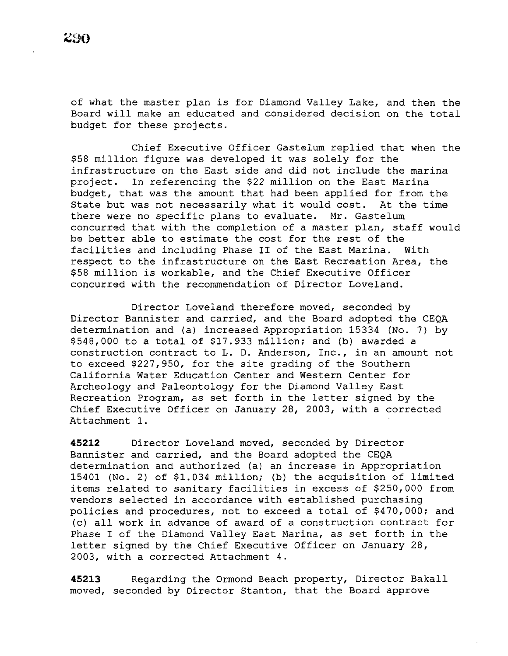of what the master plan is for Diamond Valley Lake, and then the Board will make an educated and considered decision on the total budget for these projects.

Chief Executive Officer Gastelum replied that when the \$58 million figure was developed it was solely for the infrastructure on the East side and did not include the marina project. In referencing the \$22 million on the East Marina budget, that was the amount that had been applied for from the State but was not necessarily what it would cost. At the time State but was not necessarily what it would cost. there were no specific plans to evaluate. Mr. Gastelum concurred that with the completion of a master plan, staff would be better able to estimate the cost for the rest of the facilities and including Phase II of the East Marina. With respect to the infrastructure on the East Recreation Area, the \$58 million is workable, and the Chief Executive Officer concurred with the recommendation of Director Loveland.

Director Loveland therefore moved, seconded by Director Bannister and carried, and the Board adopted the CEQA determination and (a) increased Appropriation 15334 (No. 7) by \$548,000 to a total of \$17.933 million; and (b) awarded a construction contract to L. D. Anderson, Inc., in an amount not to exceed \$227,950, for the site grading of the Southern California Water Education Center and Western Center for Archeology and Paleontology for the Diamond Valley East Recreation Program, as set forth in the letter signed by the Chief Executive Officer on January 28, 2003, with a corrected Attachment 1.

**45212** Director Loveland moved, seconded by Director Bannister and carried, and the Board adopted the CEQA determination and authorized (a) an increase in Appropriation 15401 (No. 2) of \$1.034 million; (b) the acquisition of limited items related to sanitary facilities in excess of \$250,000 from vendors selected in accordance with established purchasing policies and procedures, not to exceed a total of \$470,000; and (c) all work in advance of award of a construction contract for Phase I of the Diamond Valley East Marina, as set forth in the letter signed by the Chief Executive Officer on January 28, 2003, with a corrected Attachment 4.

**45213** Regarding the Ormond Beach property, Director Bakall moved, seconded by Director Stanton, that the Board approve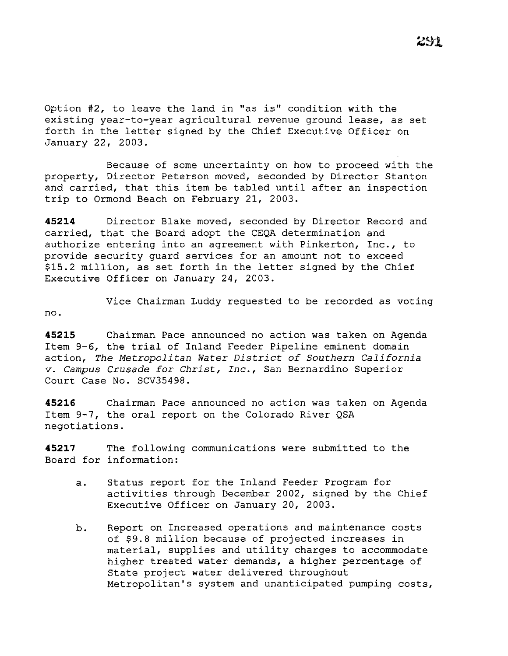Option #2, to leave the land *in* "as *is"* condition with the existing year-to-year agricultural revenue ground lease, as set forth *in* the letter signed by the Chief Executive Officer on January 22, 2003.

Because of some uncertainty on how to proceed with the property, Director Peterson moved, seconded by Director Stanton and carried, that *this* item be tabled until after an inspection trip to Ormond Beach on February 21, 2003.

**45214** Director Blake moved, seconded by Director Record and carried, that the Board adopt the CEQA determination and authorize entering *into* an agreement with Pinkerton, Inc., to provide security guard services for an amount not to exceed \$15.2 million, as set forth *in* the letter signed by the Chief Executive Officer on January 24, 2003.

Vice Chairman Luddy requested to be recorded as voting no.

**45215** Chairman Pace announced no *action* was taken on Agenda Item 9-6, the trial of Inland Feeder Pipeline eminent domain action, *The Metropolitan Water District of Southern California v. Campus* Crusade *for Christ, Inc.,* San Bernardino Superior Court Case No. SCV35498.

**45216** Chairman Pace announced no action was taken on Agenda Item 9-7, the oral report on the Colorado River QSA negotiations.

**45217** The following communications were submitted to the Board for information:

- a. Status report for the Inland Feeder Program for activities through December 2002, signed by the Chief Executive Officer on January 20, 2003.
- b. Report on Increased operations and maintenance costs of \$9.8 million because of projected increases *in*  material, supplies and utility charges to accommodate higher treated water demands, a higher percentage of State project water delivered throughout Metropolitan's system and unanticipated pumping costs,